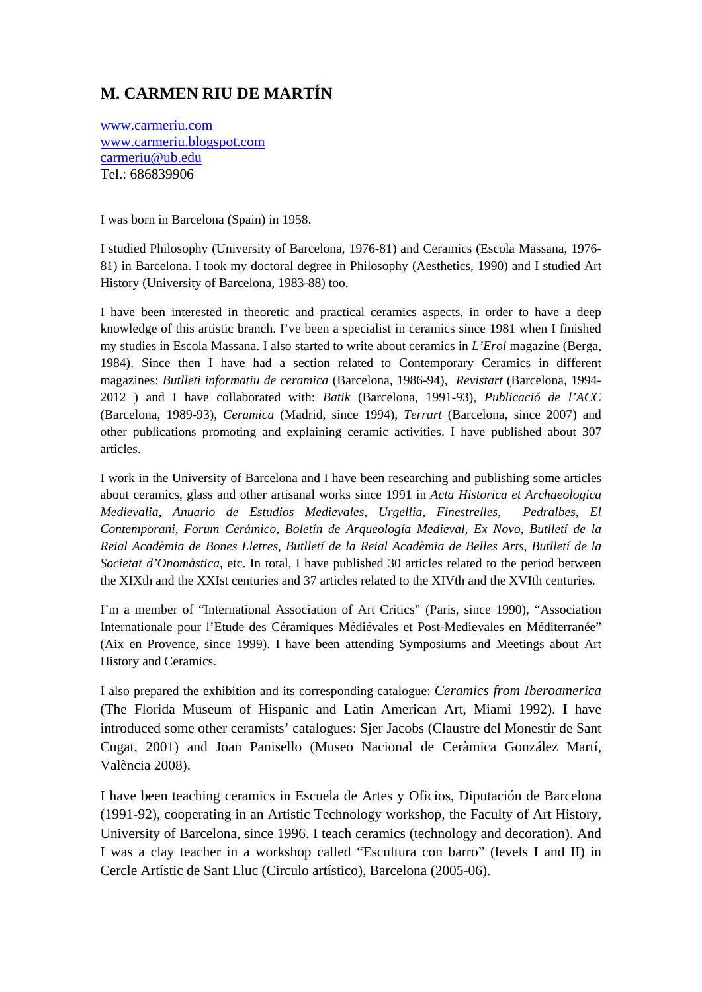## **M. CARMEN RIU DE MARTÍN**

www.carmeriu.com www.carmeriu.blogspot.com carmeriu@ub.edu Tel.: 686839906

I was born in Barcelona (Spain) in 1958.

I studied Philosophy (University of Barcelona, 1976-81) and Ceramics (Escola Massana, 1976- 81) in Barcelona. I took my doctoral degree in Philosophy (Aesthetics, 1990) and I studied Art History (University of Barcelona, 1983-88) too.

I have been interested in theoretic and practical ceramics aspects, in order to have a deep knowledge of this artistic branch. I've been a specialist in ceramics since 1981 when I finished my studies in Escola Massana. I also started to write about ceramics in *L'Erol* magazine (Berga, 1984). Since then I have had a section related to Contemporary Ceramics in different magazines: *Butlleti informatiu de ceramica* (Barcelona, 1986-94), *Revistart* (Barcelona, 1994- 2012 ) and I have collaborated with: *Batik* (Barcelona, 1991-93), *Publicació de l'ACC* (Barcelona, 1989-93), *Ceramica* (Madrid, since 1994), *Terrart* (Barcelona, since 2007) and other publications promoting and explaining ceramic activities. I have published about 307 articles.

I work in the University of Barcelona and I have been researching and publishing some articles about ceramics, glass and other artisanal works since 1991 in *Acta Historica et Archaeologica Medievalia*, *Anuario de Estudios Medievales, Urgellia*, *Finestrelles*, *Pedralbes*, *El Contemporani*, *Forum Cerámico*, *Boletín de Arqueología Medieval, Ex Novo*, *Butlletí de la Reial Acadèmia de Bones Lletres*, *Butlletí de la Reial Acadèmia de Belles Arts*, *Butlletí de la Societat d'Onomàstica*, etc. In total, I have published 30 articles related to the period between the XIXth and the XXIst centuries and 37 articles related to the XIVth and the XVIth centuries.

I'm a member of "International Association of Art Critics" (Paris, since 1990), "Association Internationale pour l'Etude des Céramiques Médiévales et Post-Medievales en Méditerranée" (Aix en Provence, since 1999). I have been attending Symposiums and Meetings about Art History and Ceramics.

I also prepared the exhibition and its corresponding catalogue: *Ceramics from Iberoamerica*  (The Florida Museum of Hispanic and Latin American Art, Miami 1992). I have introduced some other ceramists' catalogues: Sjer Jacobs (Claustre del Monestir de Sant Cugat, 2001) and Joan Panisello (Museo Nacional de Ceràmica González Martí, València 2008).

I have been teaching ceramics in Escuela de Artes y Oficios, Diputación de Barcelona (1991-92), cooperating in an Artistic Technology workshop, the Faculty of Art History, University of Barcelona, since 1996. I teach ceramics (technology and decoration). And I was a clay teacher in a workshop called "Escultura con barro" (levels I and II) in Cercle Artístic de Sant Lluc (Circulo artístico), Barcelona (2005-06).